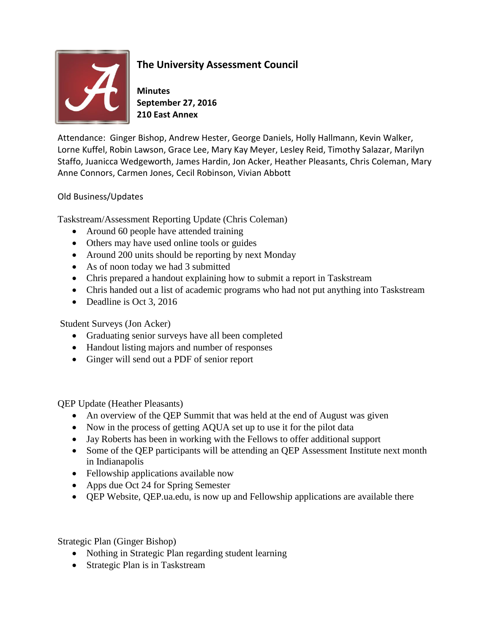

## **The University Assessment Council**

**Minutes September 27, 2016 210 East Annex**

Attendance: Ginger Bishop, Andrew Hester, George Daniels, Holly Hallmann, Kevin Walker, Lorne Kuffel, Robin Lawson, Grace Lee, Mary Kay Meyer, Lesley Reid, Timothy Salazar, Marilyn Staffo, Juanicca Wedgeworth, James Hardin, Jon Acker, Heather Pleasants, Chris Coleman, Mary Anne Connors, Carmen Jones, Cecil Robinson, Vivian Abbott

## Old Business/Updates

Taskstream/Assessment Reporting Update (Chris Coleman)

- Around 60 people have attended training
- Others may have used online tools or guides
- Around 200 units should be reporting by next Monday
- As of noon today we had 3 submitted
- Chris prepared a handout explaining how to submit a report in Taskstream
- Chris handed out a list of academic programs who had not put anything into Taskstream
- Deadline is Oct 3, 2016

## Student Surveys (Jon Acker)

- Graduating senior surveys have all been completed
- Handout listing majors and number of responses
- Ginger will send out a PDF of senior report

QEP Update (Heather Pleasants)

- An overview of the QEP Summit that was held at the end of August was given
- Now in the process of getting AQUA set up to use it for the pilot data
- Jay Roberts has been in working with the Fellows to offer additional support
- Some of the QEP participants will be attending an QEP Assessment Institute next month in Indianapolis
- Fellowship applications available now
- Apps due Oct 24 for Spring Semester
- QEP Website, QEP.ua.edu, is now up and Fellowship applications are available there

Strategic Plan (Ginger Bishop)

- Nothing in Strategic Plan regarding student learning
- Strategic Plan is in Taskstream